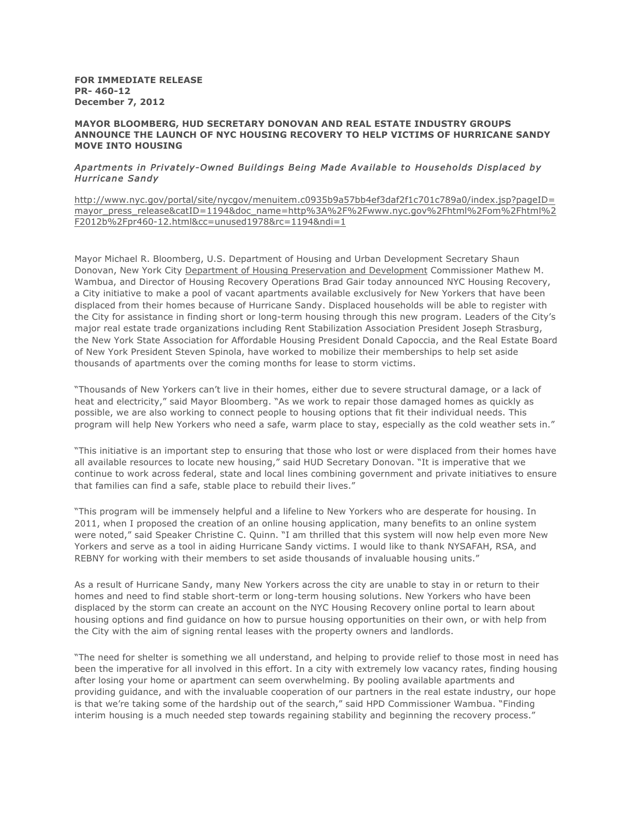**FOR IMMEDIATE RELEASE PR- 460-12 December 7, 2012**

## **MAYOR BLOOMBERG, HUD SECRETARY DONOVAN AND REAL ESTATE INDUSTRY GROUPS ANNOUNCE THE LAUNCH OF NYC HOUSING RECOVERY TO HELP VICTIMS OF HURRICANE SANDY MOVE INTO HOUSING**

## *Apartments in Privately-Owned Buildings Being Made Available to Households Displaced by Hurricane Sandy*

[http://www.nyc.gov/portal/site/nycgov/menuitem.c0935b9a57bb4ef3daf2f1c701c789a0/index.jsp?pageID](http://www.nyc.gov/portal/site/nycgov/menuitem.c0935b9a57bb4ef3daf2f1c701c789a0/index.jsp?pageID=mayor_press_release&catID=1194&doc_name=http%3A%2F%2Fwww.nyc.gov%2Fhtml%2Fom%2Fhtml%2F2012b%2Fpr460-12.html&cc=unused1978&rc=1194&ndi=1)= [mayor\\_press\\_release&catID=1194&doc\\_name=http%3A%2F%2Fwww.nyc.gov%2Fhtml%2Fom%2Fhtml%2](http://www.nyc.gov/portal/site/nycgov/menuitem.c0935b9a57bb4ef3daf2f1c701c789a0/index.jsp?pageID=mayor_press_release&catID=1194&doc_name=http%3A%2F%2Fwww.nyc.gov%2Fhtml%2Fom%2Fhtml%2F2012b%2Fpr460-12.html&cc=unused1978&rc=1194&ndi=1) [F2012b%2Fpr460-12.html&cc=unused1978&rc=1194&ndi=1](http://www.nyc.gov/portal/site/nycgov/menuitem.c0935b9a57bb4ef3daf2f1c701c789a0/index.jsp?pageID=mayor_press_release&catID=1194&doc_name=http%3A%2F%2Fwww.nyc.gov%2Fhtml%2Fom%2Fhtml%2F2012b%2Fpr460-12.html&cc=unused1978&rc=1194&ndi=1)

Mayor Michael R. Bloomberg, U.S. Department of Housing and Urban Development Secretary Shaun Donovan, New York City [Department of Housing Preservation and Development](http://www.nyc.gov/html/hpd/) Commissioner Mathew M. Wambua, and Director of Housing Recovery Operations Brad Gair today announced NYC Housing Recovery, a City initiative to make a pool of vacant apartments available exclusively for New Yorkers that have been displaced from their homes because of Hurricane Sandy. Displaced households will be able to register with the City for assistance in finding short or long-term housing through this new program. Leaders of the City's major real estate trade organizations including Rent Stabilization Association President Joseph Strasburg, the New York State Association for Affordable Housing President Donald Capoccia, and the Real Estate Board of New York President Steven Spinola, have worked to mobilize their memberships to help set aside thousands of apartments over the coming months for lease to storm victims.

"Thousands of New Yorkers can't live in their homes, either due to severe structural damage, or a lack of heat and electricity," said Mayor Bloomberg. "As we work to repair those damaged homes as quickly as possible, we are also working to connect people to housing options that fit their individual needs. This program will help New Yorkers who need a safe, warm place to stay, especially as the cold weather sets in."

"This initiative is an important step to ensuring that those who lost or were displaced from their homes have all available resources to locate new housing," said HUD Secretary Donovan. "It is imperative that we continue to work across federal, state and local lines combining government and private initiatives to ensure that families can find a safe, stable place to rebuild their lives."

"This program will be immensely helpful and a lifeline to New Yorkers who are desperate for housing. In 2011, when I proposed the creation of an online housing application, many benefits to an online system were noted," said Speaker Christine C. Quinn. "I am thrilled that this system will now help even more New Yorkers and serve as a tool in aiding Hurricane Sandy victims. I would like to thank NYSAFAH, RSA, and REBNY for working with their members to set aside thousands of invaluable housing units."

As a result of Hurricane Sandy, many New Yorkers across the city are unable to stay in or return to their homes and need to find stable short-term or long-term housing solutions. New Yorkers who have been displaced by the storm can create an account on the NYC Housing Recovery online portal to learn about housing options and find guidance on how to pursue housing opportunities on their own, or with help from the City with the aim of signing rental leases with the property owners and landlords.

"The need for shelter is something we all understand, and helping to provide relief to those most in need has been the imperative for all involved in this effort. In a city with extremely low vacancy rates, finding housing after losing your home or apartment can seem overwhelming. By pooling available apartments and providing guidance, and with the invaluable cooperation of our partners in the real estate industry, our hope is that we're taking some of the hardship out of the search," said HPD Commissioner Wambua. "Finding interim housing is a much needed step towards regaining stability and beginning the recovery process."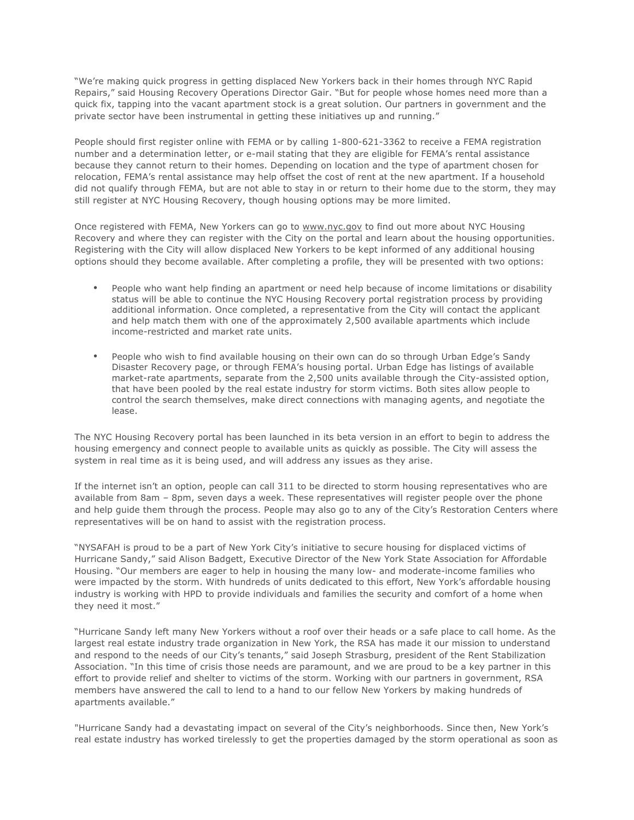"We're making quick progress in getting displaced New Yorkers back in their homes through NYC Rapid Repairs," said Housing Recovery Operations Director Gair. "But for people whose homes need more than a quick fix, tapping into the vacant apartment stock is a great solution. Our partners in government and the private sector have been instrumental in getting these initiatives up and running."

People should first register online with FEMA or by calling 1-800-621-3362 to receive a FEMA registration number and a determination letter, or e-mail stating that they are eligible for FEMA's rental assistance because they cannot return to their homes. Depending on location and the type of apartment chosen for relocation, FEMA's rental assistance may help offset the cost of rent at the new apartment. If a household did not qualify through FEMA, but are not able to stay in or return to their home due to the storm, they may still register at NYC Housing Recovery, though housing options may be more limited.

Once registered with FEMA, New Yorkers can go to [www.nyc.gov](http://www.nyc.gov/) to find out more about NYC Housing Recovery and where they can register with the City on the portal and learn about the housing opportunities. Registering with the City will allow displaced New Yorkers to be kept informed of any additional housing options should they become available. After completing a profile, they will be presented with two options:

- People who want help finding an apartment or need help because of income limitations or disability status will be able to continue the NYC Housing Recovery portal registration process by providing additional information. Once completed, a representative from the City will contact the applicant and help match them with one of the approximately 2,500 available apartments which include income-restricted and market rate units.
- People who wish to find available housing on their own can do so through Urban Edge's Sandy Disaster Recovery page, or through FEMA's housing portal. Urban Edge has listings of available market-rate apartments, separate from the 2,500 units available through the City-assisted option, that have been pooled by the real estate industry for storm victims. Both sites allow people to control the search themselves, make direct connections with managing agents, and negotiate the lease.

The NYC Housing Recovery portal has been launched in its beta version in an effort to begin to address the housing emergency and connect people to available units as quickly as possible. The City will assess the system in real time as it is being used, and will address any issues as they arise.

If the internet isn't an option, people can call 311 to be directed to storm housing representatives who are available from 8am – 8pm, seven days a week. These representatives will register people over the phone and help guide them through the process. People may also go to any of the City's Restoration Centers where representatives will be on hand to assist with the registration process.

"NYSAFAH is proud to be a part of New York City's initiative to secure housing for displaced victims of Hurricane Sandy," said Alison Badgett, Executive Director of the New York State Association for Affordable Housing. "Our members are eager to help in housing the many low- and moderate-income families who were impacted by the storm. With hundreds of units dedicated to this effort, New York's affordable housing industry is working with HPD to provide individuals and families the security and comfort of a home when they need it most."

"Hurricane Sandy left many New Yorkers without a roof over their heads or a safe place to call home. As the largest real estate industry trade organization in New York, the RSA has made it our mission to understand and respond to the needs of our City's tenants," said Joseph Strasburg, president of the Rent Stabilization Association. "In this time of crisis those needs are paramount, and we are proud to be a key partner in this effort to provide relief and shelter to victims of the storm. Working with our partners in government, RSA members have answered the call to lend to a hand to our fellow New Yorkers by making hundreds of apartments available."

"Hurricane Sandy had a devastating impact on several of the City's neighborhoods. Since then, New York's real estate industry has worked tirelessly to get the properties damaged by the storm operational as soon as